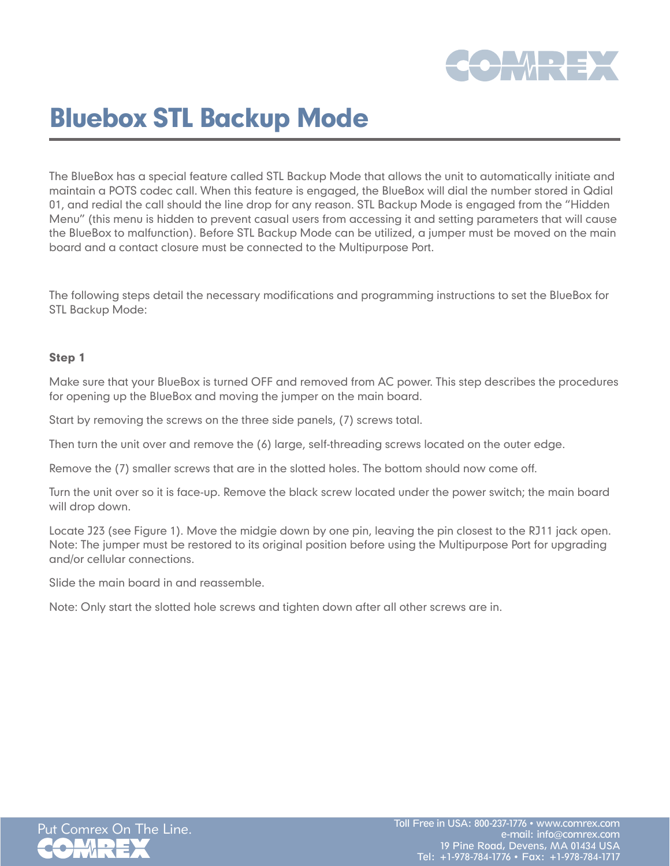

# Bluebox STL Backup Mode

The BlueBox has a special feature called STL Backup Mode that allows the unit to automatically initiate and maintain a POTS codec call. When this feature is engaged, the BlueBox will dial the number stored in Qdial 01, and redial the call should the line drop for any reason. STL Backup Mode is engaged from the "Hidden Menu" (this menu is hidden to prevent casual users from accessing it and setting parameters that will cause the BlueBox to malfunction). Before STL Backup Mode can be utilized, a jumper must be moved on the main board and a contact closure must be connected to the Multipurpose Port.

The following steps detail the necessary modifications and programming instructions to set the BlueBox for STL Backup Mode:

# Step 1

Make sure that your BlueBox is turned OFF and removed from AC power. This step describes the procedures for opening up the BlueBox and moving the jumper on the main board.

Start by removing the screws on the three side panels, (7) screws total.

Then turn the unit over and remove the (6) large, self-threading screws located on the outer edge.

Remove the (7) smaller screws that are in the slotted holes. The bottom should now come off.

Turn the unit over so it is face-up. Remove the black screw located under the power switch; the main board will drop down.

Locate J23 (see Figure 1). Move the midgie down by one pin, leaving the pin closest to the RJ11 jack open. Note: The jumper must be restored to its original position before using the Multipurpose Port for upgrading and/or cellular connections.

Slide the main board in and reassemble.

Note: Only start the slotted hole screws and tighten down after all other screws are in.

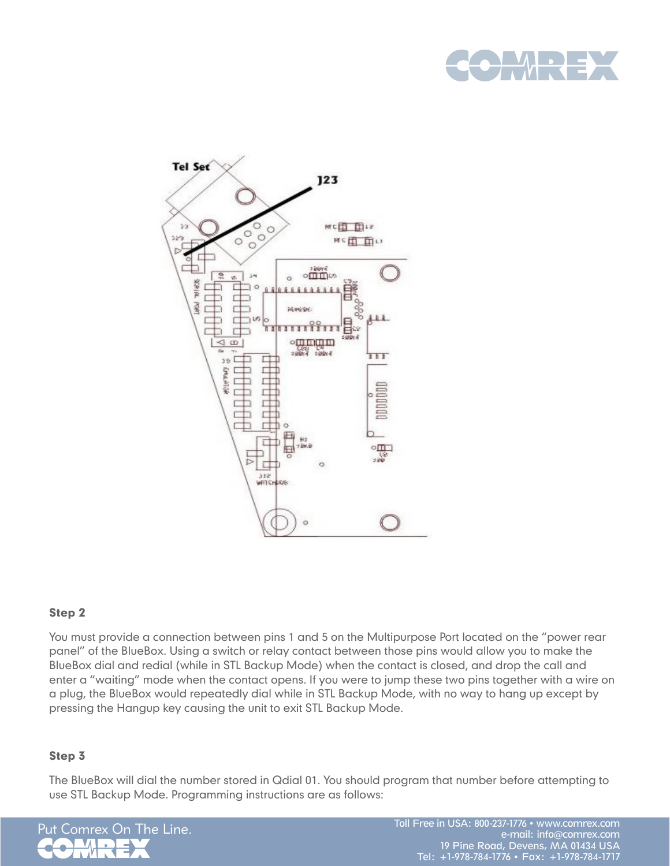



# Step 2

You must provide a connection between pins 1 and 5 on the Multipurpose Port located on the "power rear panel" of the BlueBox. Using a switch or relay contact between those pins would allow you to make the BlueBox dial and redial (while in STL Backup Mode) when the contact is closed, and drop the call and enter a "waiting" mode when the contact opens. If you were to jump these two pins together with a wire on a plug, the BlueBox would repeatedly dial while in STL Backup Mode, with no way to hang up except by pressing the Hangup key causing the unit to exit STL Backup Mode.

### Step 3

The BlueBox will dial the number stored in Qdial 01. You should program that number before attempting to use STL Backup Mode. Programming instructions are as follows: